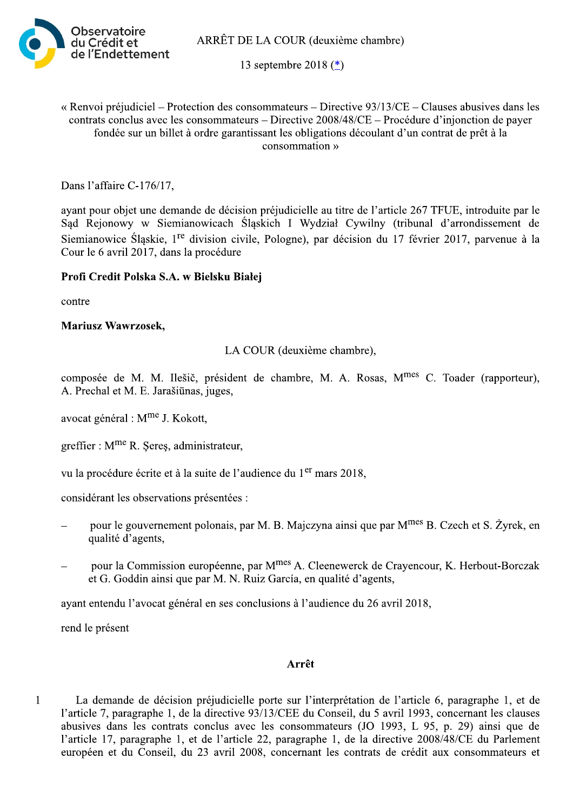ARRÊT DE LA COUR (deuxième chambre)



13 septembre 2018 (\*)

## « Renvoi préjudiciel – Protection des consommateurs – Directive  $93/13/CE$  – Clauses abusives dans les contrats conclus avec les consommateurs – Directive 2008/48/CE – Procédure d'injonction de payer fondée sur un billet à ordre garantissant les obligations découlant d'un contrat de prêt à la consommation »

Dans l'affaire C-176/17,

ayant pour objet une demande de décision préjudicielle au titre de l'article 267 TFUE, introduite par le Sąd Rejonowy w Siemianowicach Śląskich I Wydział Cywilny (tribunal d'arrondissement de Siemianowice Śląskie, 1<sup>re</sup> division civile, Pologne), par décision du 17 février 2017, parvenue à la Cour le 6 avril 2017, dans la procédure

## Profi Credit Polska S.A. w Bielsku Białej

contre

#### **Mariusz Wawrzosek,**

LA COUR (deuxième chambre),

composée de M. M. Ilešič, président de chambre, M. A. Rosas, M<sup>mes</sup> C. Toader (rapporteur), A. Prechal et M. E. Jarašiūnas, juges,

avocat général : M<sup>me</sup> J. Kokott,

greffier : M<sup>me</sup> R. Seres, administrateur,

vu la procédure écrite et à la suite de l'audience du 1<sup>er</sup> mars 2018.

considérant les observations présentées :

- pour le gouvernement polonais, par M. B. Majczyna ainsi que par M<sup>mes</sup> B. Czech et S. Żyrek, en qualité d'agents,
- pour la Commission européenne, par M<sup>mes</sup> A. Cleenewerck de Crayencour, K. Herbout-Borczak et G. Goddin ainsi que par M. N. Ruiz García, en qualité d'agents,

ayant entendu l'avocat général en ses conclusions à l'audience du 26 avril 2018,

rend le présent

#### Arrêt

La demande de décision préjudicielle porte sur l'interprétation de l'article 6, paragraphe 1, et de  $\mathbf{1}$ l'article 7, paragraphe 1, de la directive 93/13/CEE du Conseil, du 5 avril 1993, concernant les clauses abusives dans les contrats conclus avec les consommateurs (JO 1993, L 95, p. 29) ainsi que de l'article 17, paragraphe 1, et de l'article 22, paragraphe 1, de la directive 2008/48/CE du Parlement européen et du Conseil, du 23 avril 2008, concernant les contrats de crédit aux consommateurs et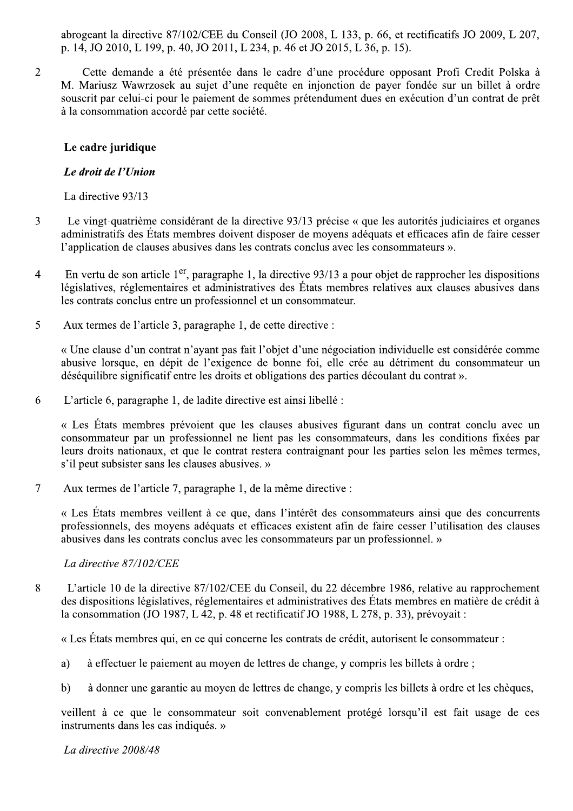abrogeant la directive  $87/102$ /CEE du Conseil (JO 2008, L 133, p. 66, et rectificatifs JO 2009, L 207, p. 14, JO 2010, L 199, p. 40, JO 2011, L 234, p. 46 et JO 2015, L 36, p. 15).

= >/11/4/P\*04/\*Q1QH,QA/01Q/4\*0A3/6\*4,/4R@0/H,-6Q4@,/-HH-A\*01S,-K5>,/451S-3AT\*U M. Mariusz Wawrzosek au sujet d'une requête en injonction de payer fondée sur un billet à ordre souscrit par celui-ci pour le paiement de sommes prétendument dues en exécution d'un contrat de prêt à la consommation accordé par cette société.

## Le cadre juridique

## Le droit de l'Union

La directive  $93/13$ 

- 3 Le vingt-quatrième considérant de la directive 93/13 précise « que les autorités judiciaires et organes administratifs des États membres doivent disposer de moyens adéquats et efficaces afin de faire cesser 1'application de clauses abusives dans les contrats conclus avec les consommateurs ».
- 4 En vertu de son article  $1<sup>er</sup>$ , paragraphe 1, la directive 93/13 a pour objet de rapprocher les dispositions législatives, réglementaires et administratives des États membres relatives aux clauses abusives dans les contrats conclus entre un professionnel et un consommateur.
- 5 Aux termes de l'article 3, paragraphe 1, de cette directive :

« Une clause d'un contrat n'ayant pas fait l'objet d'une négociation individuelle est considérée comme abusive lorsque, en dépit de l'exigence de bonne foi, elle crée au détriment du consommateur un déséquilibre significatif entre les droits et obligations des parties découlant du contrat ».

 $\delta$  L'article 6, paragraphe 1, de ladite directive est ainsi libellé :

« Les États membres prévoient que les clauses abusives figurant dans un contrat conclu avec un consommateur par un professionnel ne lient pas les consommateurs, dans les conditions fixées par leurs droits nationaux, et que le contrat restera contraignant pour les parties selon les mêmes termes, s'il peut subsister sans les clauses abusives. »

9 7 Aux termes de l'article 7, paragraphe 1, de la même directive :

« Les États membres veillent à ce que, dans l'intérêt des consommateurs ainsi que des concurrents professionnels, des moyens adéquats et efficaces existent afin de faire cesser l'utilisation des clauses abusives dans les contrats conclus avec les consommateurs par un professionnel. »

La directive 87/102/CEE

8 L'article 10 de la directive 87/102/CEE du Conseil, du 22 décembre 1986, relative au rapprochement des dispositions législatives, réglementaires et administratives des États membres en matière de crédit à la consommation (JO 1987, L 42, p. 48 et rectificatif JO 1988, L 278, p. 33), prévoyait :

« Les États membres qui, en ce qui concerne les contrats de crédit, autorisent le consommateur :

- a) à effectuer le paiement au moyen de lettres de change, y compris les billets à ordre;
- b) à donner une garantie au moyen de lettres de change, y compris les billets à ordre et les chèques,

veillent à ce que le consommateur soit convenablement protégé lorsqu'il est fait usage de ces instruments dans les cas indiqués. »

La directive 2008/48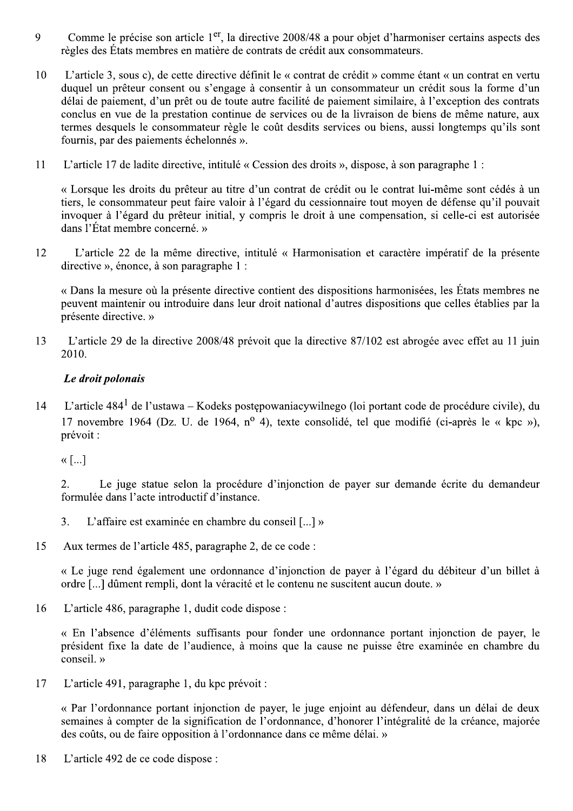- Comme le précise son article 1<sup>er</sup>, la directive 2008/48 a pour objet d'harmoniser certains aspects des 9 règles des États membres en matière de contrats de crédit aux consommateurs.
- 10 L'article 3, sous c), de cette directive définit le « contrat de crédit » comme étant « un contrat en vertu duquel un prêteur consent ou s'engage à consentir à un consommateur un crédit sous la forme d'un délai de paiement, d'un prêt ou de toute autre facilité de paiement similaire, à l'exception des contrats conclus en vue de la prestation continue de services ou de la livraison de biens de même nature, aux termes desquels le consommateur règle le coût desdits services ou biens, aussi longtemps qu'ils sont fournis, par des paiements échelonnés ».
- 11 L'article 17 de ladite directive, intitulé « Cession des droits », dispose, à son paragraphe 1 :

« Lorsque les droits du prêteur au titre d'un contrat de crédit ou le contrat lui-même sont cédés à un tiers, le consommateur peut faire valoir à l'égard du cessionnaire tout moyen de défense qu'il pouvait invoquer à l'égard du prêteur initial, y compris le droit à une compensation, si celle-ci est autorisée dans l'État membre concerné »

L'article 22 de la même directive, intitulé « Harmonisation et caractère impératif de la présente 12 directive », énonce, à son paragraphe 1 :

« Dans la mesure où la présente directive contient des dispositions harmonisées, les États membres ne peuvent maintenir ou introduire dans leur droit national d'autres dispositions que celles établies par la présente directive. »

L'article 29 de la directive 2008/48 prévoit que la directive 87/102 est abrogée avec effet au 11 juin 13 2010.

# Le droit polonais

L'article 484<sup>1</sup> de l'ustawa - Kodeks postępowaniacywilnego (loi portant code de procédure civile), du  $14$ 17 novembre 1964 (Dz. U. de 1964,  $n^{\circ}$  4), texte consolidé, tel que modifié (ci-après le « kpc »), prévoit :

 $\langle\langle$  [...]

Le juge statue selon la procédure d'injonction de payer sur demande écrite du demandeur  $2.$ formulée dans l'acte introductif d'instance.

- L'affaire est examinée en chambre du conseil [...] »  $3.$
- 15 Aux termes de l'article 485, paragraphe 2, de ce code :

« Le juge rend également une ordonnance d'injonction de payer à l'égard du débiteur d'un billet à ordre [...] dûment rempli, dont la véracité et le contenu ne suscitent aucun doute. »

16 L'article 486, paragraphe 1, dudit code dispose :

« En l'absence d'éléments suffisants pour fonder une ordonnance portant injonction de payer, le président fixe la date de l'audience, à moins que la cause ne puisse être examinée en chambre du  $conseil.$ »

17 L'article 491, paragraphe 1, du kpc prévoit :

> « Par l'ordonnance portant injonction de payer, le juge enjoint au défendeur, dans un délai de deux semaines à compter de la signification de l'ordonnance, d'honorer l'intégralité de la créance, majorée des coûts, ou de faire opposition à l'ordonnance dans ce même délai. »

18 L'article 492 de ce code dispose :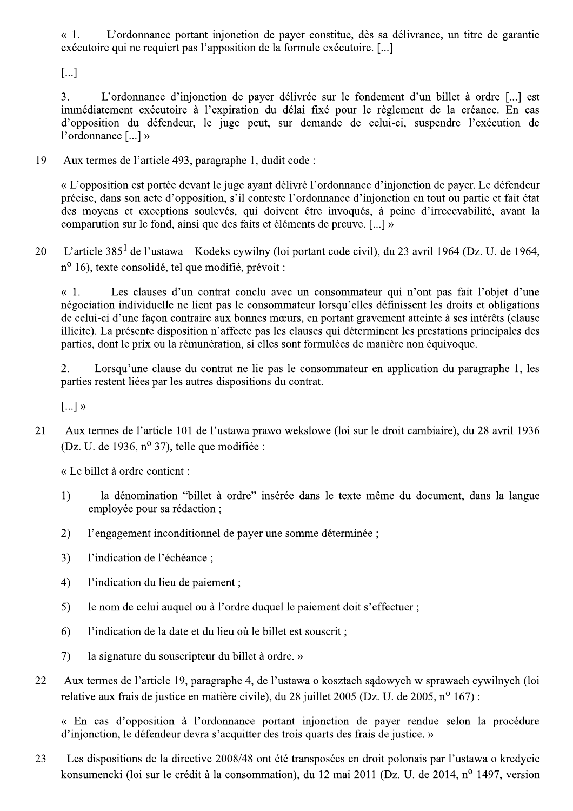« 1. L'ordonnance portant injonction de payer constitue, dès sa délivrance, un titre de garantie exécutoire qui ne requiert pas l'apposition de la formule exécutoire. [...]

[...]<br>3. L'ordonnance d'injonction de payer délivrée sur le fondement d'un billet à ordre [...] est immédiatement exécutoire à l'expiration du délai fixé pour le règlement de la créance. En cas d'opposition du défendeur, le juge peut, sur demande de celui-ci, suspendre l'exécution de l'ordonnance [...] »

19 Aux termes de l'article 493, paragraphe 1, dudit code :

« L'opposition est portée devant le juge ayant délivré l'ordonnance d'injonction de payer. Le défendeur précise, dans son acte d'opposition, s'il conteste l'ordonnance d'injonction en tout ou partie et fait état des moyens et exceptions soulevés, qui doivent être invoqués, à peine d'irrecevabilité, avant la subsequent comparution sur le fond, ainsi que des faits et éléments de preuve. [...] »

20 L'article 385<sup>1</sup> de l'ustawa – Kodeks cywilny (loi portant code civil), du 23 avril 1964 (Dz. U. de 1964,  $n^{\circ}$  16), texte consolidé, tel que modifié, prévoit :

« 1. Les clauses d'un contrat conclu avec un consommateur qui n'ont pas fait l'objet d'une négociation individuelle ne lient pas le consommateur lorsqu'elles définissent les droits et obligations de celui-ci d'une façon contraire aux bonnes mœurs, en portant gravement atteinte à ses intérêts (clause illicite). La présente disposition n'affecte pas les clauses qui déterminent les prestations principales des parties, dont le prix ou la rémunération, si elles sont formulées de manière non équivoque.

2. Lorsqu'une clause du contrat ne lie pas le consommateur en application du paragraphe 1, les parties restent liées par les autres dispositions du contrat.

 $\left[\ldots\right]$  »

21 Aux termes de l'article 101 de l'ustawa prawo wekslowe (loi sur le droit cambiaire), du 28 avril 1936 (Dz. U. de 1936,  $n^{\circ}$  37), telle que modifiée :

 $\kappa$  Le billet à ordre contient :

- 1) la dénomination "billet à ordre" insérée dans le texte même du document, dans la langue employée pour sa rédaction :
- 2) l'engagement inconditionnel de paver une somme déterminée :
- 3) l'indication de l'échéance;
- 4) l'indication du lieu de paiement;
- 5) le nom de celui auquel ou à l'ordre duquel le paiement doit s'effectuer;
- 6) l'indication de la date et du lieu où le billet est souscrit;
- 7) la signature du souscripteur du billet à ordre. »
- 22 Aux termes de l'article 19, paragraphe 4, de l'ustawa o kosztach sądowych w sprawach cywilnych (loi relative aux frais de justice en matière civile), du 28 juillet 2005 (Dz. U. de 2005, nº 167) :

« En cas d'opposition à l'ordonnance portant injonction de payer rendue selon la procédure d'injonction, le défendeur devra s'acquitter des trois quarts des frais de justice. »

23 Les dispositions de la directive 2008/48 ont été transposées en droit polonais par l'ustawa o kredycie konsumencki (loi sur le crédit à la consommation), du 12 mai 2011 (Dz. U. de 2014, n<sup>o</sup> 1497, version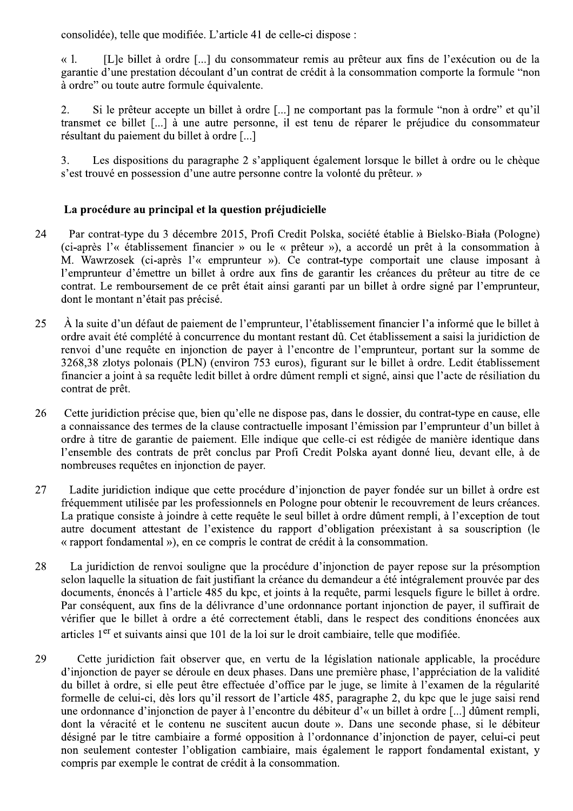consolidée), telle que modifiée. L'article 41 de celle-ci dispose :

[L]e billet à ordre [...] du consommateur remis au prêteur aux fins de l'exécution ou de la  $\ll 1$ . garantie d'une prestation découlant d'un contrat de crédit à la consommation comporte la formule "non à ordre" ou toute autre formule équivalente.

2. Si le prêteur accepte un billet à ordre [...] ne comportant pas la formule "non à ordre" et qu'il transmet ce billet [...] à une autre personne, il est tenu de réparer le préjudice du consommateur résultant du paiement du billet à ordre [...]

 $\overline{3}$ . Les dispositions du paragraphe 2 s'appliquent également lorsque le billet à ordre ou le chèque s'est trouvé en possession d'une autre personne contre la volonté du prêteur. »

# La procédure au principal et la question préjudicielle

- 24 Par contrat-type du 3 décembre 2015, Profi Credit Polska, société établie à Bielsko-Biała (Pologne) (ci-après l'« établissement financier » ou le « prêteur »), a accordé un prêt à la consommation à M. Wawrzosek (ci-après l'« emprunteur »). Ce contrat-type comportait une clause imposant à l'emprunteur d'émettre un billet à ordre aux fins de garantir les créances du prêteur au titre de ce contrat. Le remboursement de ce prêt était ainsi garanti par un billet à ordre signé par l'emprunteur, dont le montant n'était pas précisé.
- 25 À la suite d'un défaut de paiement de l'emprunteur, l'établissement financier l'a informé que le billet à ordre avait été complété à concurrence du montant restant dû. Cet établissement a saisi la juridiction de renvoi d'une requête en injonction de payer à l'encontre de l'emprunteur, portant sur la somme de 3268,38 zlotys polonais (PLN) (environ 753 euros), figurant sur le billet à ordre. Ledit établissement financier a joint à sa requête ledit billet à ordre dûment rempli et signé, ainsi que l'acte de résiliation du contrat de prêt.
- 26 Cette juridiction précise que, bien qu'elle ne dispose pas, dans le dossier, du contrat-type en cause, elle a connaissance des termes de la clause contractuelle imposant l'émission par l'emprunteur d'un billet à ordre à titre de garantie de paiement. Elle indique que celle-ci est rédigée de manière identique dans l'ensemble des contrats de prêt conclus par Profi Credit Polska avant donné lieu, devant elle, à de nombreuses requêtes en injonction de payer.
- 27 Ladite juridiction indique que cette procédure d'injonction de payer fondée sur un billet à ordre est fréquemment utilisée par les professionnels en Pologne pour obtenir le recouvrement de leurs créances. La pratique consiste à joindre à cette requête le seul billet à ordre dûment rempli, à l'exception de tout autre document attestant de l'existence du rapport d'obligation préexistant à sa souscription (le « rapport fondamental »), en ce compris le contrat de crédit à la consommation.
- 28 La juridiction de renvoi souligne que la procédure d'injonction de payer repose sur la présomption selon laquelle la situation de fait justifiant la créance du demandeur a été intégralement prouvée par des documents, énoncés à l'article 485 du kpc, et joints à la requête, parmi lesquels figure le billet à ordre. Par conséquent, aux fins de la délivrance d'une ordonnance portant injonction de payer, il suffirait de vérifier que le billet à ordre a été correctement établi, dans le respect des conditions énoncées aux articles 1<sup>er</sup> et suivants ainsi que 101 de la loi sur le droit cambiaire, telle que modifiée.
- 29 Cette juridiction fait observer que, en vertu de la législation nationale applicable, la procédure d'injonction de payer se déroule en deux phases. Dans une première phase, l'appréciation de la validité du billet à ordre, si elle peut être effectuée d'office par le juge, se limite à l'examen de la régularité formelle de celui-ci, dès lors qu'il ressort de l'article 485, paragraphe 2, du kpc que le juge saisi rend une ordonnance d'injonction de payer à l'encontre du débiteur d'« un billet à ordre [...] dûment rempli, dont la véracité et le contenu ne suscitent aucun doute ». Dans une seconde phase, si le débiteur désigné par le titre cambiaire a formé opposition à l'ordonnance d'injonction de payer, celui-ci peut non seulement contester l'obligation cambiaire, mais également le rapport fondamental existant, y compris par exemple le contrat de crédit à la consommation.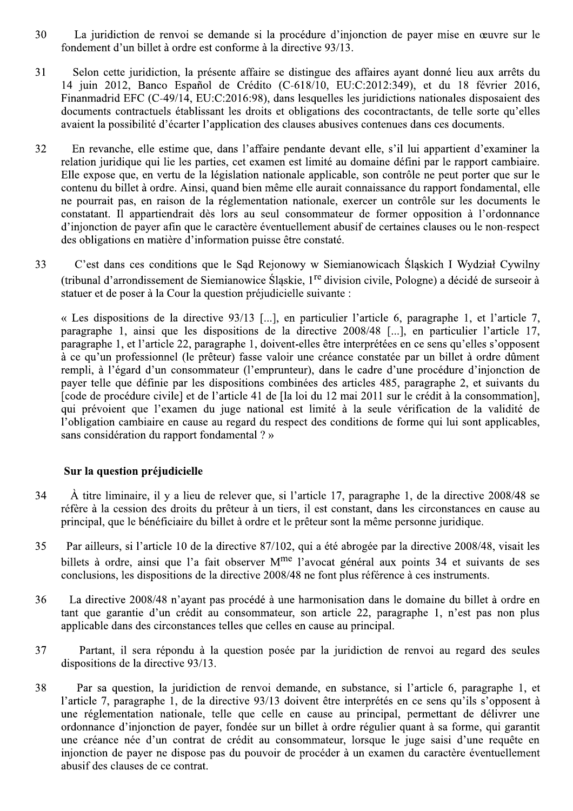- 30 La juridiction de renvoi se demande si la procédure d'injonction de payer mise en œuvre sur le fondement d'un billet à ordre est conforme à la directive 93/13.
- 31 Selon cette juridiction, la présente affaire se distingue des affaires ayant donné lieu aux arrêts du 14 juin 2012, Banco Español de Crédito (C-618/10, EU:C:2012:349), et du 18 février 2016, Finanmadrid EFC (C-49/14, EU:C:2016:98), dans lesquelles les juridictions nationales disposaient des documents contractuels établissant les droits et obligations des cocontractants, de telle sorte qu'elles avaient la possibilité d'écarter l'application des clauses abusives contenues dans ces documents.
- 32 En revanche, elle estime que, dans l'affaire pendante devant elle, s'il lui appartient d'examiner la relation juridique qui lie les parties, cet examen est limité au domaine défini par le rapport cambiaire. Elle expose que, en vertu de la législation nationale applicable, son contrôle ne peut porter que sur le contenu du billet à ordre. Ainsi, quand bien même elle aurait connaissance du rapport fondamental, elle ne pourrait pas, en raison de la réglementation nationale, exercer un contrôle sur les documents le constatant. Il appartiendrait dès lors au seul consommateur de former opposition à l'ordonnance d'injonction de payer afin que le caractère éventuellement abusif de certaines clauses ou le non-respect des obligations en matière d'information puisse être constaté.
- 33 C'est dans ces conditions que le Sad Rejonowy w Siemianowicach Śląskich I Wydział Cywilny (tribunal d'arrondissement de Siemianowice Śląskie, 1<sup>re</sup> division civile, Pologne) a décidé de surseoir à statuer et de poser à la Cour la question préjudicielle suivante :

« Les dispositions de la directive 93/13 [...], en particulier l'article 6, paragraphe 1, et l'article 7, paragraphe 1, ainsi que les dispositions de la directive 2008/48 [...], en particulier l'article 17, paragraphe 1, et l'article 22, paragraphe 1, doivent-elles être interprétées en ce sens qu'elles s'opposent à ce qu'un professionnel (le prêteur) fasse valoir une créance constatée par un billet à ordre dûment rempli, à l'égard d'un consommateur (l'emprunteur), dans le cadre d'une procédure d'injonction de payer telle que définie par les dispositions combinées des articles 485, paragraphe 2, et suivants du [code de procédure civile] et de l'article 41 de [la loi du 12 mai 2011 sur le crédit à la consommation]. qui prévoient que l'examen du juge national est limité à la seule vérification de la validité de l'obligation cambiaire en cause au regard du respect des conditions de forme qui lui sont applicables, sans considération du rapport fondamental ? »

# Sur la question préjudicielle

- 34 À titre liminaire, il y a lieu de relever que, si l'article 17, paragraphe 1, de la directive 2008/48 se réfère à la cession des droits du prêteur à un tiers, il est constant, dans les circonstances en cause au principal, que le bénéficiaire du billet à ordre et le prêteur sont la même personne juridique.
- 35 Par ailleurs, si l'article 10 de la directive 87/102, qui a été abrogée par la directive 2008/48, visait les billets à ordre, ainsi que l'a fait observer M<sup>me</sup> l'avocat général aux points 34 et suivants de ses conclusions, les dispositions de la directive 2008/48 ne font plus référence à ces instruments.
- La directive 2008/48 n'avant pas procédé à une harmonisation dans le domaine du billet à ordre en 36 tant que garantie d'un crédit au consommateur, son article 22, paragraphe 1, n'est pas non plus applicable dans des circonstances telles que celles en cause au principal.
- 37 Partant, il sera répondu à la question posée par la juridiction de renvoi au regard des seules dispositions de la directive 93/13.
- 38 Par sa question, la juridiction de renvoi demande, en substance, si l'article 6, paragraphe 1, et l'article 7, paragraphe 1, de la directive 93/13 doivent être interprétés en ce sens qu'ils s'opposent à une réglementation nationale, telle que celle en cause au principal, permettant de délivrer une ordonnance d'injonction de payer, fondée sur un billet à ordre régulier quant à sa forme, qui garantit une créance née d'un contrat de crédit au consommateur, lorsque le juge saisi d'une requête en injonction de payer ne dispose pas du pouvoir de procéder à un examen du caractère éventuellement abusif des clauses de ce contrat.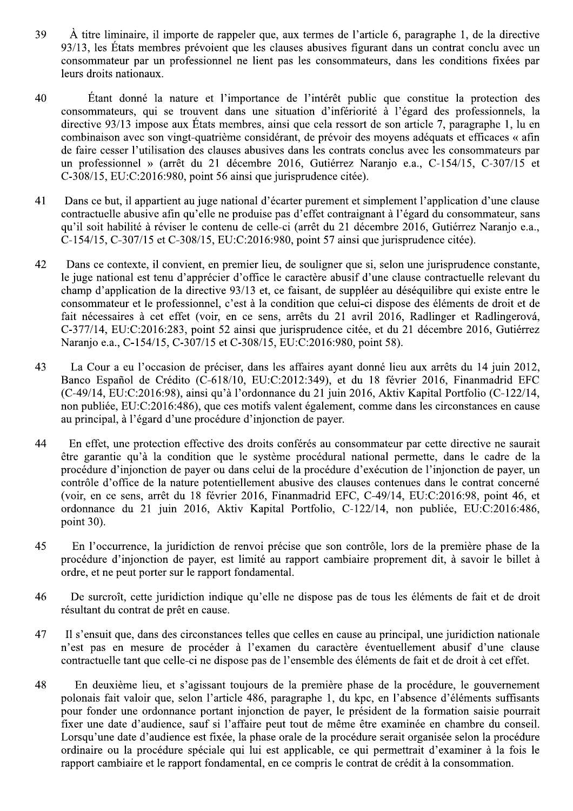- 39 À titre liminaire, il importe de rappeler que, aux termes de l'article 6, paragraphe 1, de la directive 93/13, les États membres prévoient que les clauses abusives figurant dans un contrat conclu avec un consommateur par un professionnel ne lient pas les consommateurs, dans les conditions fixées par leurs droits nationaux.
- $40$ Étant donné la nature et l'importance de l'intérêt public que constitue la protection des consommateurs, qui se trouvent dans une situation d'infériorité à l'égard des professionnels, la directive 93/13 impose aux États membres, ainsi que cela ressort de son article 7, paragraphe 1, lu en combinaison avec son vingt-quatrième considérant, de prévoir des moyens adéquats et efficaces « afin de faire cesser l'utilisation des clauses abusives dans les contrats conclus avec les consommateurs par un professionnel » (arrêt du 21 décembre 2016, Gutiérrez Naranjo e.a., C-154/15, C-307/15 et C-308/15, EU:C:2016:980, point 56 ainsi que jurisprudence citée).
- Dans ce but, il appartient au juge national d'écarter purement et simplement l'application d'une clause 41 contractuelle abusive afin qu'elle ne produise pas d'effet contraignant à l'égard du consommateur, sans qu'il soit habilité à réviser le contenu de celle-ci (arrêt du 21 décembre 2016, Gutiérrez Naranjo e.a., C-154/15, C-307/15 et C-308/15, EU:C:2016:980, point 57 ainsi que jurisprudence citée).
- 42 Dans ce contexte, il convient, en premier lieu, de souligner que si, selon une jurisprudence constante, le juge national est tenu d'apprécier d'office le caractère abusif d'une clause contractuelle relevant du champ d'application de la directive 93/13 et, ce faisant, de suppléer au déséquilibre qui existe entre le consommateur et le professionnel, c'est à la condition que celui-ci dispose des éléments de droit et de fait nécessaires à cet effet (voir, en ce sens, arrêts du 21 avril 2016, Radlinger et Radlingerová, C-377/14, EU:C:2016:283, point 52 ainsi que jurisprudence citée, et du 21 décembre 2016, Gutiérrez Naranjo e.a., C-154/15, C-307/15 et C-308/15, EU:C:2016:980, point 58).
- La Cour a eu l'occasion de préciser, dans les affaires avant donné lieu aux arrêts du 14 juin 2012, 43 Banco Español de Crédito (C-618/10, EU:C:2012:349), et du 18 février 2016, Finanmadrid EFC (C-49/14, EU:C:2016:98), ainsi qu'à l'ordonnance du 21 juin 2016, Aktiv Kapital Portfolio (C-122/14, non publiée, EU:C:2016:486), que ces motifs valent également, comme dans les circonstances en cause au principal, à l'égard d'une procédure d'injonction de payer.
- 44 En effet, une protection effective des droits conférés au consommateur par cette directive ne saurait être garantie qu'à la condition que le système procédural national permette, dans le cadre de la procédure d'injonction de payer ou dans celui de la procédure d'exécution de l'injonction de payer, un contrôle d'office de la nature potentiellement abusive des clauses contenues dans le contrat concerné (voir, en ce sens, arrêt du 18 février 2016, Finanmadrid EFC, C-49/14, EU:C:2016:98, point 46, et ordonnance du 21 juin 2016, Aktiv Kapital Portfolio, C-122/14, non publiée, EU:C:2016:486, point 30).
- 45 En l'occurrence, la juridiction de renvoi précise que son contrôle, lors de la première phase de la procédure d'injonction de payer, est limité au rapport cambiaire proprement dit, à savoir le billet à ordre, et ne peut porter sur le rapport fondamental.
- 46 De surcroît, cette juridiction indique qu'elle ne dispose pas de tous les éléments de fait et de droit résultant du contrat de prêt en cause.
- 47 Il s'ensuit que, dans des circonstances telles que celles en cause au principal, une juridiction nationale n'est pas en mesure de procéder à l'examen du caractère éventuellement abusif d'une clause contractuelle tant que celle-ci ne dispose pas de l'ensemble des éléments de fait et de droit à cet effet.
- 48 En deuxième lieu, et s'agissant toujours de la première phase de la procédure, le gouvernement polonais fait valoir que, selon l'article 486, paragraphe 1, du kpc, en l'absence d'éléments suffisants pour fonder une ordonnance portant injonction de payer, le président de la formation saisie pourrait fixer une date d'audience, sauf si l'affaire peut tout de même être examinée en chambre du conseil. Lorsqu'une date d'audience est fixée, la phase orale de la procédure serait organisée selon la procédure ordinaire ou la procédure spéciale qui lui est applicable, ce qui permettrait d'examiner à la fois le rapport cambiaire et le rapport fondamental, en ce compris le contrat de crédit à la consommation.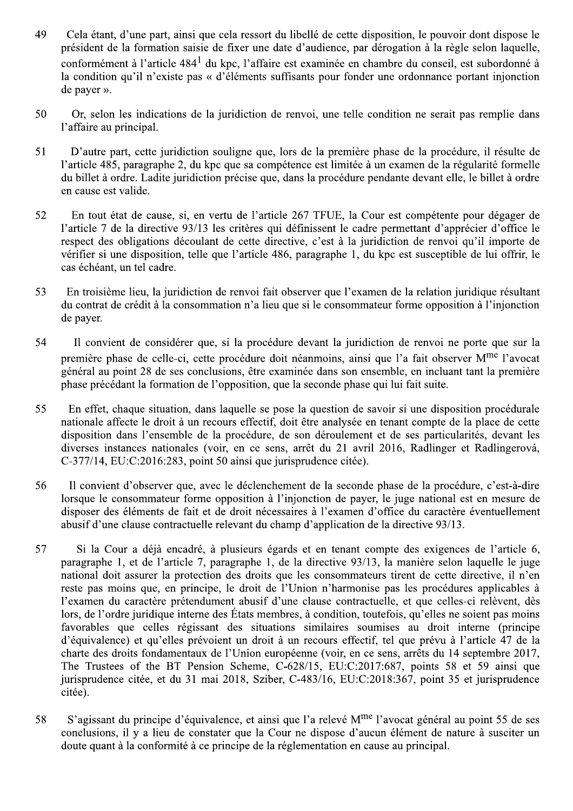- 49 Cela étant, d'une part, ainsi que cela ressort du libellé de cette disposition, le pouvoir dont dispose le président de la formation saisie de fixer une date d'audience, par dérogation à la règle selon laquelle, conformément à l'article 484<sup>1</sup> du kpc, l'affaire est examinée en chambre du conseil, est subordonné à la condition qu'il n'existe pas « d'éléments suffisants pour fonder une ordonnance portant injonction de payer ».
- 50 Or, selon les indications de la juridiction de renvoi, une telle condition ne serait pas remplie dans l'affaire au principal.
- D'autre part, cette juridiction souligne que, lors de la première phase de la procédure, il résulte de  $51$ l'article 485, paragraphe 2, du kpc que sa compétence est limitée à un examen de la régularité formelle du billet à ordre. Ladite juridiction précise que, dans la procédure pendante devant elle, le billet à ordre en cause est valide.
- 52 En tout état de cause, si, en vertu de l'article 267 TFUE, la Cour est compétente pour dégager de l'article 7 de la directive 93/13 les critères qui définissent le cadre permettant d'apprécier d'office le respect des obligations découlant de cette directive, c'est à la juridiction de renvoi qu'il importe de vérifier si une disposition, telle que l'article 486, paragraphe 1, du kpc est susceptible de lui offrir, le cas échéant, un tel cadre.
- 53 En troisième lieu, la juridiction de renvoi fait observer que l'examen de la relation juridique résultant du contrat de crédit à la consommation n'a lieu que si le consommateur forme opposition à l'injonction de payer.
- 54 Il convient de considérer que, si la procédure devant la juridiction de renvoi ne porte que sur la première phase de celle-ci, cette procédure doit néanmoins, ainsi que l'a fait observer M<sup>me</sup> l'avocat général au point 28 de ses conclusions, être examinée dans son ensemble, en incluant tant la première phase précédant la formation de l'opposition, que la seconde phase qui lui fait suite.
- 55 En effet, chaque situation, dans laquelle se pose la question de savoir si une disposition procédurale nationale affecte le droit à un recours effectif, doit être analysée en tenant compte de la place de cette disposition dans l'ensemble de la procédure, de son déroulement et de ses particularités, devant les diverses instances nationales (voir, en ce sens, arrêt du 21 avril 2016, Radlinger et Radlingerová, C-377/14, EU:C:2016:283, point 50 ainsi que jurisprudence citée).
- 56 Il convient d'observer que, avec le déclenchement de la seconde phase de la procédure, c'est-à-dire lorsque le consommateur forme opposition à l'injonction de payer, le juge national est en mesure de disposer des éléments de fait et de droit nécessaires à l'examen d'office du caractère éventuellement abusif d'une clause contractuelle relevant du champ d'application de la directive 93/13.
- 57 Si la Cour a déjà encadré, à plusieurs égards et en tenant compte des exigences de l'article 6, paragraphe 1, et de l'article 7, paragraphe 1, de la directive 93/13, la manière selon laquelle le juge national doit assurer la protection des droits que les consommateurs tirent de cette directive, il n'en reste pas moins que, en principe, le droit de l'Union n'harmonise pas les procédures applicables à l'examen du caractère prétendument abusif d'une clause contractuelle, et que celles-ci relèvent, dès lors, de l'ordre juridique interne des États membres, à condition, toutefois, qu'elles ne soient pas moins favorables que celles régissant des situations similaires soumises au droit interne (principe d'équivalence) et qu'elles prévoient un droit à un recours effectif, tel que prévu à l'article 47 de la charte des droits fondamentaux de l'Union européenne (voir, en ce sens, arrêts du 14 septembre 2017, The Trustees of the BT Pension Scheme, C-628/15, EU:C:2017:687, points 58 et 59 ainsi que jurisprudence citée, et du 31 mai 2018, Sziber, C-483/16, EU:C:2018:367, point 35 et jurisprudence citée).
- S'agissant du principe d'équivalence, et ainsi que l'a relevé M<sup>me</sup> l'avocat général au point 55 de ses 58 conclusions, il y a lieu de constater que la Cour ne dispose d'aucun élément de nature à susciter un doute quant à la conformité à ce principe de la réglementation en cause au principal.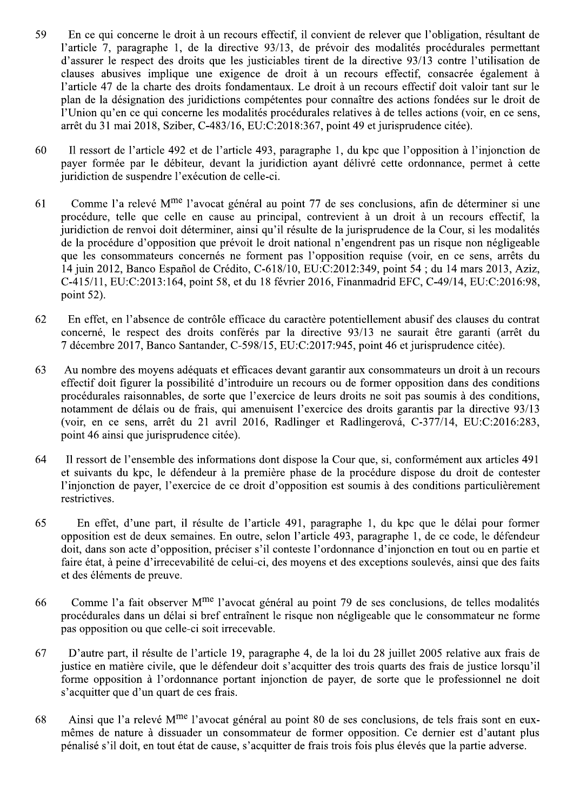- 59 En ce qui concerne le droit à un recours effectif, il convient de relever que l'obligation, résultant de l'article 7, paragraphe 1, de la directive 93/13, de prévoir des modalités procédurales permettant d'assurer le respect des droits que les justiciables tirent de la directive 93/13 contre l'utilisation de clauses abusives implique une exigence de droit à un recours effectif, consacrée également à l'article 47 de la charte des droits fondamentaux. Le droit à un recours effectif doit valoir tant sur le plan de la désignation des juridictions compétentes pour connaître des actions fondées sur le droit de l'Union qu'en ce qui concerne les modalités procédurales relatives à de telles actions (voir, en ce sens, arrêt du 31 mai 2018, Sziber, C-483/16, EU:C:2018:367, point 49 et jurisprudence citée).
- 60 Il ressort de l'article 492 et de l'article 493, paragraphe 1, du kpc que l'opposition à l'injonction de payer formée par le débiteur, devant la juridiction ayant délivré cette ordonnance, permet à cette juridiction de suspendre l'exécution de celle-ci.
- 61 Comme l'a relevé M<sup>me</sup> l'avocat général au point 77 de ses conclusions, afin de déterminer si une procédure, telle que celle en cause au principal, contrevient à un droit à un recours effectif, la juridiction de renvoi doit déterminer, ainsi qu'il résulte de la jurisprudence de la Cour, si les modalités de la procédure d'opposition que prévoit le droit national n'engendrent pas un risque non négligeable que les consommateurs concernés ne forment pas l'opposition requise (voir, en ce sens, arrêts du 14 juin 2012, Banco Español de Crédito, C-618/10, EU:C:2012:349, point 54 ; du 14 mars 2013, Aziz, C-415/11, EU:C:2013:164, point 58, et du 18 février 2016, Finanmadrid EFC, C-49/14, EU:C:2016:98, point  $52$ ).
- 62 En effet, en l'absence de contrôle efficace du caractère potentiellement abusif des clauses du contrat concerné, le respect des droits conférés par la directive 93/13 ne saurait être garanti (arrêt du 7 décembre 2017, Banco Santander, C-598/15, EU:C:2017:945, point 46 et jurisprudence citée).
- 63 Au nombre des moyens adéquats et efficaces devant garantir aux consommateurs un droit à un recours effectif doit figurer la possibilité d'introduire un recours ou de former opposition dans des conditions procédurales raisonnables, de sorte que l'exercice de leurs droits ne soit pas soumis à des conditions, notamment de délais ou de frais, qui amenuisent l'exercice des droits garantis par la directive 93/13 (voir, en ce sens, arrêt du 21 avril 2016, Radlinger et Radlingerová, C-377/14, EU:C:2016:283, point 46 ainsi que jurisprudence citée).
- 64 Il ressort de l'ensemble des informations dont dispose la Cour que, si, conformément aux articles 491 et suivants du kpc, le défendeur à la première phase de la procédure dispose du droit de contester l'injonction de payer, l'exercice de ce droit d'opposition est soumis à des conditions particulièrement restrictives.
- 65 -... En effet, d'une part, il résulte de l'article 491, paragraphe 1, du kpc que le délai pour former opposition est de deux semaines. En outre, selon l'article 493, paragraphe 1, de ce code, le défendeur doit, dans son acte d'opposition, préciser s'il conteste l'ordonnance d'injonction en tout ou en partie et faire état, à peine d'irrecevabilité de celui-ci, des moyens et des exceptions soulevés, ainsi que des faits et des éléments de preuve.
- 66 Comme l'a fait observer M<sup>me</sup> l'avocat général au point 79 de ses conclusions, de telles modalités procédurales dans un délai si bref entraînent le risque non négligeable que le consommateur ne forme pas opposition ou que celle-ci soit irrecevable.
- 67 D'autre part, il résulte de l'article 19, paragraphe 4, de la loi du 28 juillet 2005 relative aux frais de justice en matière civile, que le défendeur doit s'acquitter des trois quarts des frais de justice lorsqu'il forme opposition à l'ordonnance portant injonction de payer, de sorte que le professionnel ne doit s'acquitter que d'un quart de ces frais.
- 68 Ainsi que l'a relevé M<sup>me</sup> l'avocat général au point 80 de ses conclusions, de tels frais sont en euxmêmes de nature à dissuader un consommateur de former opposition. Ce dernier est d'autant plus pénalisé s'il doit, en tout état de cause, s'acquitter de frais trois fois plus élevés que la partie adverse.